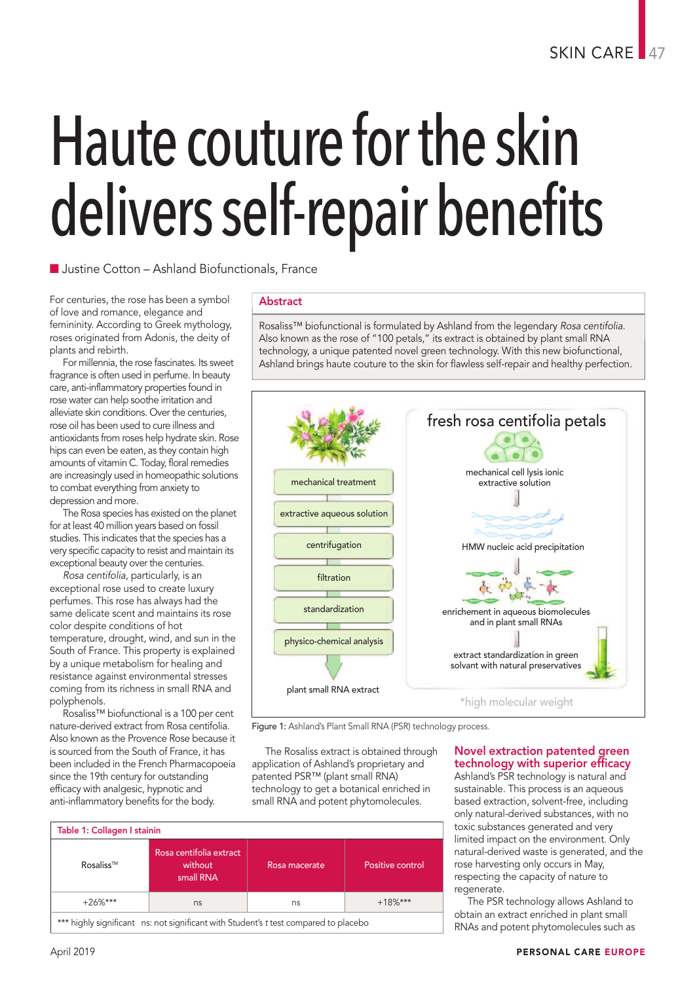# Haute couture forthe skin delivers self-repair benefits

 $\blacksquare$  Justine Cotton – Ashland Biofunctionals, France

For centuries, the rose has been a symbol of love and romance, elegance and femininity. According to Greek mythology, roses originated from Adonis, the deity of plants and rebirth.

For millennia, the rose fascinates. Its sweet fragrance is often used in perfume. In beauty care, anti-inflammatory properties found in rose water can help soothe irritation and alleviate skin conditions. Over the centuries, rose oil has been used to cure illness and antioxidants from roses help hydrate skin. Rose hips can even be eaten, as they contain high amounts of vitamin C. Today, floral remedies are increasingly used in homeopathic solutions to combat everything from anxiety to depression and more.

The Rosa species has existed on the planet for at least 40 million years based on fossil studies. This indicates that the species has a very specific capacity to resist and maintain its exceptional beauty over the centuries.

*Rosa centifolia*, particularly, is an exceptional rose used to create luxury perfumes. This rose has always had the same delicate scent and maintains its rose color despite conditions of hot temperature, drought, wind, and sun in the South of France. This property is explained by a unique metabolism for healing and resistance against environmental stresses coming from its richness in small RNA and polyphenols.

Rosaliss™ biofunctional is a 100 per cent nature-derived extract from Rosa centifolia. Also known as the Provence Rose because it is sourced from the South of France, it has been included in the French Pharmacopoeia since the 19th century for outstanding efficacy with analgesic, hypnotic and anti-inflammatory benefits for the body.

### Abstract

Rosaliss™ biofunctional is formulated by Ashland from the legendary *Rosa centifolia*. Also known as the rose of "100 petals," its extract is obtained by plant small RNA technology, <sup>a</sup> unique patented novel green technology. With this new biofunctional, Ashland brings haute couture to the skin for flawless self-repair and healthy perfection.



Figure 1: Ashland's Plant Small RNA (PSR) technology process.

The Rosaliss extract is obtained through application of Ashland's proprietary and patented PSR™ (plant small RNA) technology to get a botanical enriched in small RNA and potent phytomolecules.

### Novel extraction patented green technology with superior efficacy

Ashland's PSR technology is natural and sustainable. This process is an aqueous based extraction, solvent-free, including only natural-derived substances, with no toxic substances generated and very limited impact on the environment. Only natural-derived waste is generated, and the rose harvesting only occurs in May, respecting the capacity of nature to regenerate.

The PSR technology allows Ashland to obtain an extract enriched in plant small RNAs and potent phytomolecules such as

| Table 1: Collagen I stainin |                                                 |               |                  |
|-----------------------------|-------------------------------------------------|---------------|------------------|
| Rosaliss™                   | Rosa centifolia extract<br>without<br>small RNA | Rosa macerate | Positive control |
| $+26\%***$                  | ns                                              | ns            | $+18\%***$       |

\*\* highly significant ns: not significant with Student's *t* test compared to placebo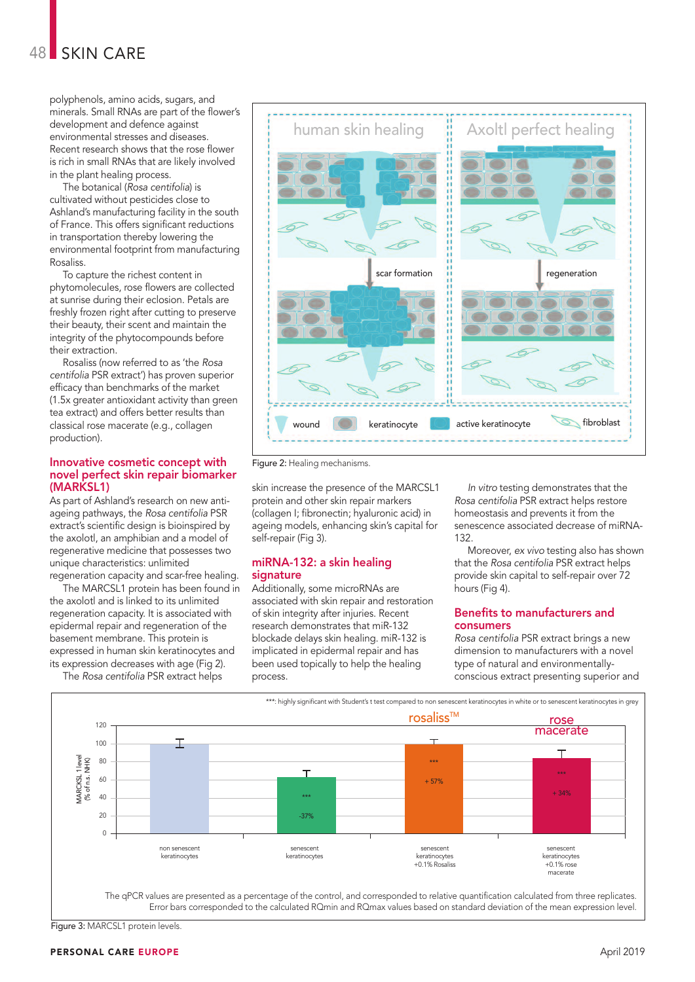polyphenols, amino acids, sugars, and minerals. Small RNAs are part of the flower's development and defence against environmental stresses and diseases. Recent research shows that the rose flower is rich in small RNAs that are likely involved in the plant healing process.

The botanical (*Rosa centifolia*) is cultivated without pesticides close to Ashland's manufacturing facility in the south of France. This offers significant reductions in transportation thereby lowering the environmental footprint from manufacturing Rosaliss.

To capture the richest content in phytomolecules, rose flowers are collected at sunrise during their eclosion. Petals are freshly frozen right after cutting to preserve their beauty, their scent and maintain the integrity of the phytocompounds before their extraction.

Rosaliss (now referred to as 'the *Rosa centifolia* PSR extract') has proven superior efficacy than benchmarks of the market (1.5x greater antioxidant activity than green tea extract) and offers better results than classical rose macerate (e.g., collagen production).

#### Innovative cosmetic concept with novel perfect skin repair biomarker (MARKSL1)

As part of Ashland's research on new antiageing pathways, the *Rosa centifolia* PSR extract's scientific design is bioinspired by the axolotl, an amphibian and a model of regenerative medicine that possesses two unique characteristics: unlimited regeneration capacity and scar-free healing.

The MARCSL1 protein has been found in the axolotl and is linked to its unlimited regeneration capacity. It is associated with epidermal repair and regeneration of the basement membrane. This protein is expressed in human skin keratinocytes and its expression decreases with age (Fig 2).

The *Rosa centifolia* PSR extract helps



Figure 2: Healing mechanisms.

skin increase the presence of the MARCSL1 protein and other skin repair markers (collagen I; fibronectin; hyaluronic acid) in ageing models, enhancing skin's capital for self-repair (Fig 3).

#### miRNA-132: a skin healing signature

Additionally, some microRNAs are associated with skin repair and restoration of skin integrity after injuries. Recent research demonstrates that miR-132 blockade delays skin healing. miR-132 is implicated in epidermal repair and has been used topically to help the healing process.

*In vitro* testing demonstrates that the *Rosa centifolia* PSR extract helps restore homeostasis and prevents it from the senescence associated decrease of miRNA-132.

Moreover, *ex vivo* testing also has shown that the *Rosa centifolia* PSR extract helps provide skin capital to self-repair over 72 hours (Fig 4).

#### Benefits to manufacturers and consumers

*Rosa centifolia* PSR extract brings a new dimension to manufacturers with a novel type of natural and environmentallyconscious extract presenting superior and



Figure 3: MARCSL1 protein levels.